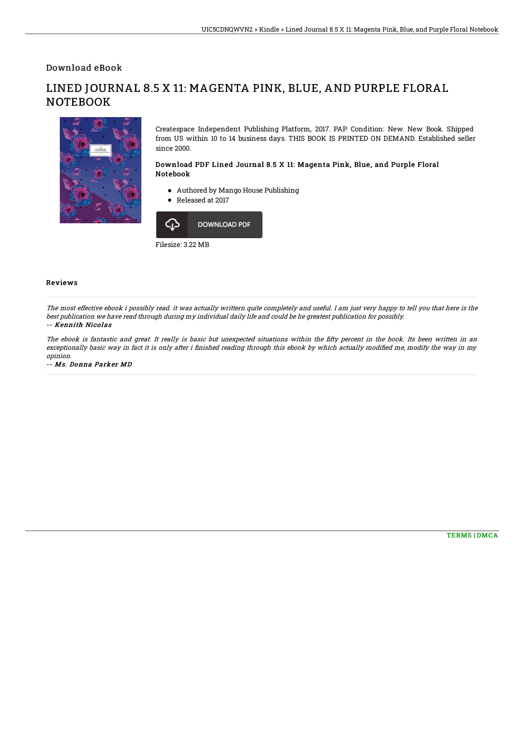Download eBook

LINED JOURNAL 8.5 X 11: MAGENTA PINK, BLUE, AND PURPLE FLORAL **NOTEBOOK** 

> Createspace Independent Publishing Platform, 2017. PAP. Condition: New. New Book. Shipped from US within 10 to 14 business days. THIS BOOK IS PRINTED ON DEMAND. Established seller since 2000.

## Download PDF Lined Journal 8.5 X 11: Magenta Pink, Blue, and Purple Floral Notebook

- Authored by Mango House Publishing
- Released at 2017



Filesize: 3.22 MB

## Reviews

The most effective ebook i possibly read. it was actually writtern quite completely and useful. I am just very happy to tell you that here is the best publication we have read through during my individual daily life and could be he greatest publication for possibly. -- Kennith Nicolas

The ebook is fantastic and great. It really is basic but unexpected situations within the fifty percent in the book. Its been written in an exceptionally basic way in fact it is only after i finished reading through this ebook by which actually modified me, modify the way in my opinion.

-- Ms. Donna Parker MD